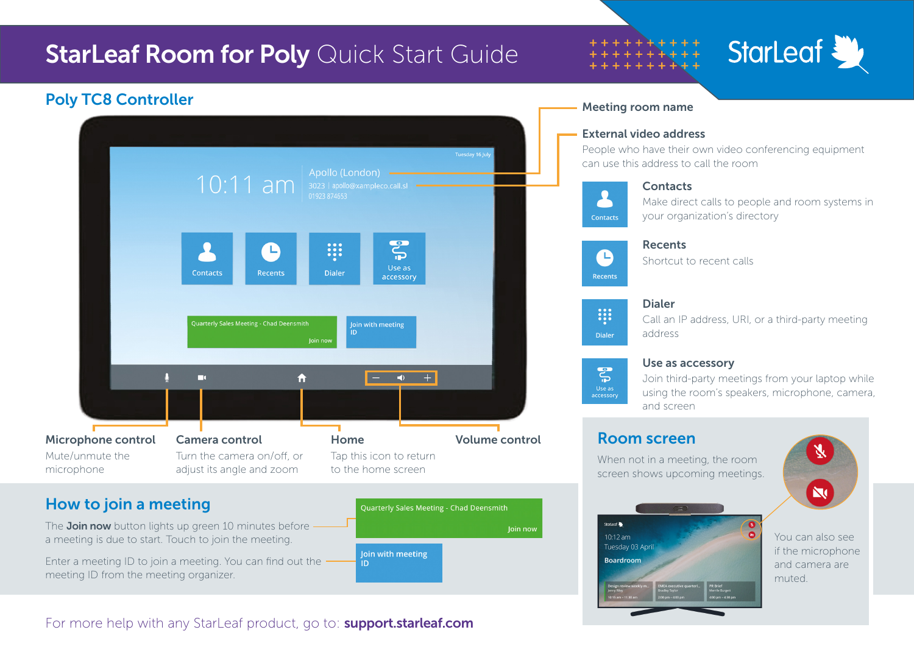

The **Join now** button lights up green 10 minutes before a meeting is due to start. Touch to join the meeting.

Enter a meeting ID to join a meeting. You can find out the meeting ID from the meeting organizer.



You can also see if the microphone and camera are

muted.

 $\bullet$ 

10:12 am Tuesday 03 Apri

**Boardroom** 

#### For more help with any StarLeaf product, go to: **support.starleaf.com**